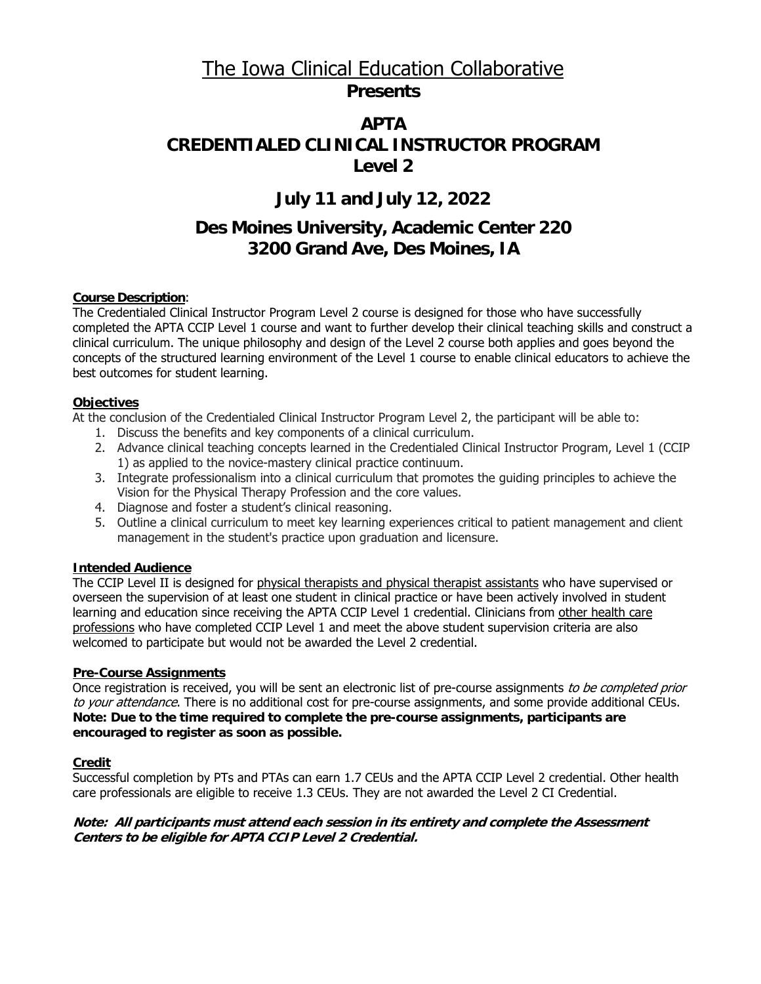# The Iowa Clinical Education Collaborative **Presents**

# **APTA CREDENTIALED CLINICAL INSTRUCTOR PROGRAM Level 2**

# **July 11 and July 12, 2022**

# **Des Moines University, Academic Center 220 3200 Grand Ave, Des Moines, IA**

## **Course Description**:

The Credentialed Clinical Instructor Program Level 2 course is designed for those who have successfully completed the APTA CCIP Level 1 course and want to further develop their clinical teaching skills and construct a clinical curriculum. The unique philosophy and design of the Level 2 course both applies and goes beyond the concepts of the structured learning environment of the Level 1 course to enable clinical educators to achieve the best outcomes for student learning.

### **Objectives**

At the conclusion of the Credentialed Clinical Instructor Program Level 2, the participant will be able to:

- 1. Discuss the benefits and key components of a clinical curriculum.
- 2. Advance clinical teaching concepts learned in the Credentialed Clinical Instructor Program, Level 1 (CCIP 1) as applied to the novice-mastery clinical practice continuum.
- 3. Integrate professionalism into a clinical curriculum that promotes the guiding principles to achieve the Vision for the Physical Therapy Profession and the core values.
- 4. Diagnose and foster a student's clinical reasoning.
- 5. Outline a clinical curriculum to meet key learning experiences critical to patient management and client management in the student's practice upon graduation and licensure.

# **Intended Audience**

The CCIP Level II is designed for physical therapists and physical therapist assistants who have supervised or overseen the supervision of at least one student in clinical practice or have been actively involved in student learning and education since receiving the APTA CCIP Level 1 credential. Clinicians from other health care professions who have completed CCIP Level 1 and meet the above student supervision criteria are also welcomed to participate but would not be awarded the Level 2 credential.

# **Pre-Course Assignments**

Once registration is received, you will be sent an electronic list of pre-course assignments to be completed prior to your attendance. There is no additional cost for pre-course assignments, and some provide additional CEUs. **Note: Due to the time required to complete the pre-course assignments, participants are encouraged to register as soon as possible.** 

# **Credit**

Successful completion by PTs and PTAs can earn 1.7 CEUs and the APTA CCIP Level 2 credential. Other health care professionals are eligible to receive 1.3 CEUs. They are not awarded the Level 2 CI Credential.

### **Note: All participants must attend each session in its entirety and complete the Assessment Centers to be eligible for APTA CCIP Level 2 Credential.**